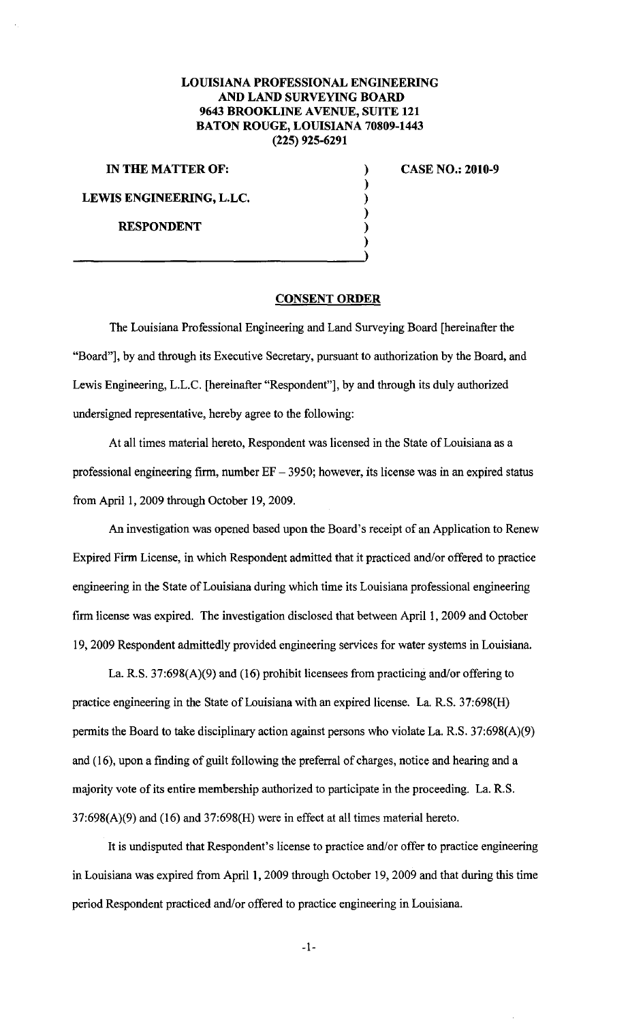## **LOUISIANA PROFESSIONAL ENGINEERING AND LAND SURVEYING BOARD 9643 BROOKLINE A VENUE, SUITE 121 BATON ROUGE, LOUISIANA 70809-1443 (225) 925-6291**

**IN THE MATTER OF:** 

**LEWIS ENGINEERING, L.LC.** 

**RESPONDENT** 

**CASE NO.: 2010-9** 

## **CONSENT ORDER**

) ) ) ) ) )

The Louisiana Professional Engineering and Land Surveying Board [hereinafter the "Board"], by and through its Executive Secretary, pursuant to authorization by the Board, and Lewis Engineering, L.L.C. [hereinafter "Respondent"], by and through its duly authorized undersigned representative, hereby agree to the following:

At all times material hereto, Respondent was licensed in the State of Louisiana as a professional engineering firm, number  $EF - 3950$ ; however, its license was in an expired status from April 1, 2009 through October 19, 2009.

An investigation was opened based upon the Board's receipt of an Application to Renew Expired Firm License, in which Respondent admitted that it practiced and/or offered to practice engineering in the State of Louisiana during which time its Louisiana professional engineering firm license was expired. The investigation disclosed that between April I, 2009 and October 19, 2009 Respondent admittedly provided engineering services for water systems in Louisiana.

La. R.S. 37:698(A)(9) and (16) prohibit licensees from practicing and/or offering to practice engineering in the State of Louisiana with an expired license. La R.S. 37:698(H) permits the Board to take disciplinary action against persons who violate La. R.S. 37:698(A)(9) and ( 16), upon a finding of guilt following the preferral of charges, notice and hearing and a majority vote of its entire membership authorized to participate in the proceeding. La. R.S.  $37:698(A)(9)$  and  $(16)$  and  $37:698(H)$  were in effect at all times material hereto.

It is undisputed that Respondent's license to practice and/or offer to practice engineering in Louisiana was expired from April I, 2009 through October 19, 2009 and that during this time period Respondent practiced and/or offered to practice engineering in Louisiana.

-1-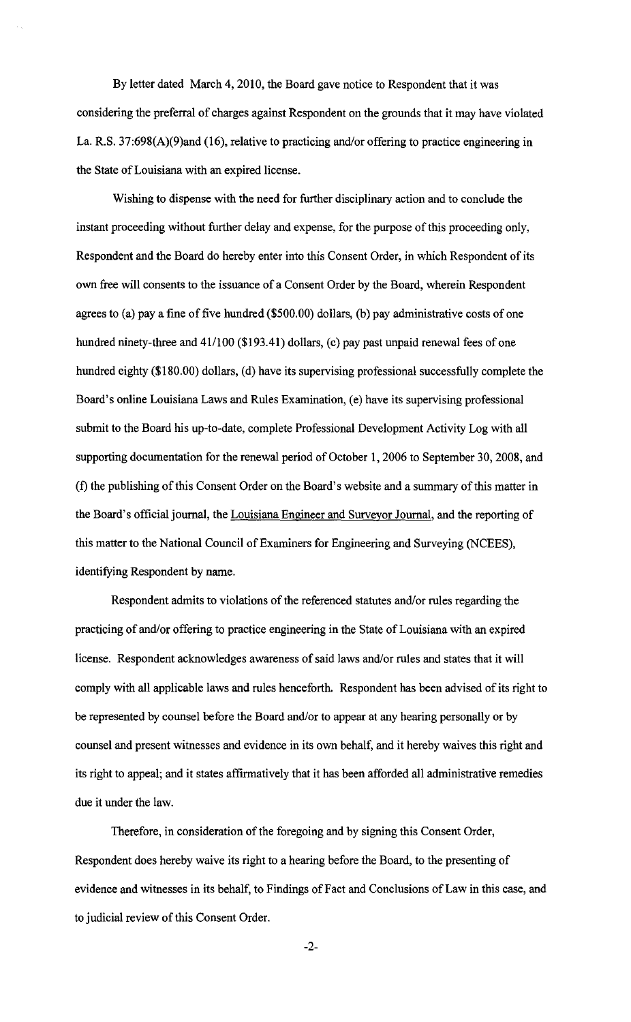By letter dated March 4, 2010, the Board gave notice to Respondent that it was considering the preferral of charges against Respondent on the grounds that it may have violated La. R.S. 37:698(A)(9)and (16), relative to practicing and/or offering to practice engineering in the State of Louisiana with an expired license.

Wishing to dispense with the need for further disciplinary action and to conclude the instant proceeding without further delay and expense, for the purpose of this proceeding only, Respondent and the Board do hereby enter into this Consent Order, in which Respondent of its own free will consents to the issuance of a Consent Order by the Board, wherein Respondent agrees to (a) pay a fine of five hundred (\$500.00) dollars, (b) pay administrative costs of one hundred ninety-three and 41/100 (\$193.41) dollars, (c) pay past unpaid renewal fees of one hundred eighty (\$180.00) dollars, (d) have its supervising professional successfully complete the Board's online Louisiana Laws and Rules Examination, (e) have its supervising professional submit to the Board his up-to-date, complete Professional Development Activity Log with all supporting documentation for the renewal period of October 1, 2006 to September 30, 2008, and (f) the publishing of this Consent Order on the Board's website and a summary of this matter in the Board's official journal, the Louisiana Engineer and Surveyor Journal, and the reporting of this matter to the National Council of Examiners for Engineering and Surveying (NCEES), identifying Respondent by name.

Respondent admits to violations of the referenced statutes and/or rules regarding the practicing of and/or offering to practice engineering in the State of Louisiana with an expired license. Respondent acknowledges awareness of said laws and/or rules and states that it will comply with all applicable laws and rules henceforth. Respondent has been advised of its right to be represented by counsel before the Board and/or to appear at any hearing personally or by counsel and present witnesses and evidence in its own behalf, and it hereby waives this right and its right to appeal; and it states affirmatively that it has been afforded all administrative remedies due it under the law.

Therefore, in consideration of the foregoing and by signing this Consent Order, Respondent does hereby waive its right to a hearing before the Board, to the presenting of evidence and witnesses in its behalf, to Findings of Fact and Conclusions of Law in this case, and to judicial review of this Consent Order.

-2-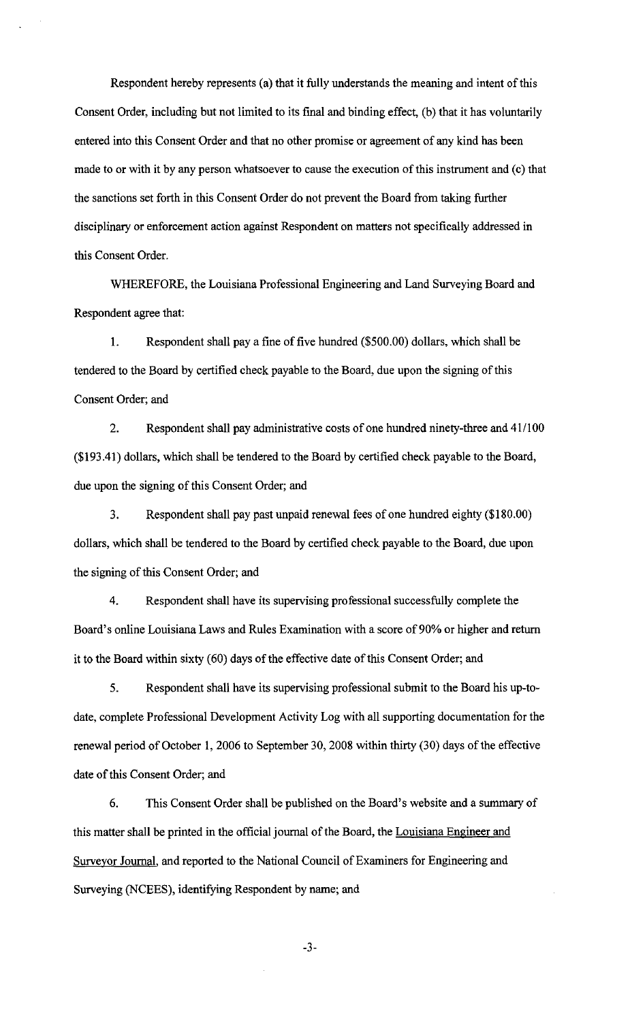Respondent hereby represents (a) that it fully understands the meaning and intent of this Consent Order, including but not limited to its final and binding effect, (b) that it has voluntarily entered into this Consent Order and that no other promise or agreement of any kind has been made to or with it by any person whatsoever to cause the execution of this instrument and (c) that the sanctions set forth in this Consent Order do not prevent the Board from taking further disciplinary or enforcement action against Respondent on matters not specifically addressed in this Consent Order.

WHEREFORE, the Louisiana Professional Engineering and Land Surveying Board and Respondent agree that:

1. Respondent shall pay a fine of five hundred (\$500.00) dollars, which shall be tendered to the Board by certified check payable to the Board, due upon the signing of this Consent Order; and

2. Respondent shall pay administrative costs of one hundred ninety-three and 41/100 (\$193.41) dollars, which shall be tendered to the Board by certified check payable to the Board, due upon the signing of this Consent Order; and

3. Respondent shall pay past unpaid renewal fees of one hundred eighty (\$180.00) dollars, which shall be tendered to the Board by certified check payable to the Board, due upon the signing of this Consent Order; and

4. Respondent shall have its supervising professional successfully complete the Board's online Louisiana Laws and Rules Examination with a score of 90% or higher and return it to the Board within sixty (60) days of the effective date of this Consent Order; and

5. Respondent shall have its supervising professional submit to the Board his up-todate, complete Professional Development Activity Log with all supporting documentation for the renewal period of October 1, 2006 to September 30, 2008 within thirty (30) days of the effective date of this Consent Order; and

6. This Consent Order shall be published on the Board's website and a summary of this matter shall be printed in the official journal of the Board, the Louisiana Engineer and Surveyor Journal, and reported to the National Council of Examiners for Engineering and Surveying (NCEES), identifying Respondent by name; and

-3-